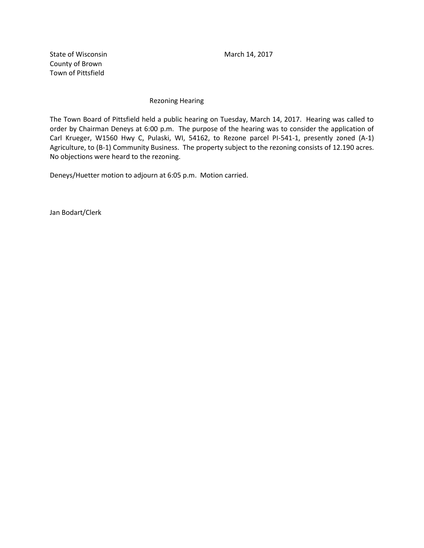State of Wisconsin March 14, 2017 County of Brown Town of Pittsfield

## Rezoning Hearing

The Town Board of Pittsfield held a public hearing on Tuesday, March 14, 2017. Hearing was called to order by Chairman Deneys at 6:00 p.m. The purpose of the hearing was to consider the application of Carl Krueger, W1560 Hwy C, Pulaski, WI, 54162, to Rezone parcel PI-541-1, presently zoned (A-1) Agriculture, to (B-1) Community Business. The property subject to the rezoning consists of 12.190 acres. No objections were heard to the rezoning.

Deneys/Huetter motion to adjourn at 6:05 p.m. Motion carried.

Jan Bodart/Clerk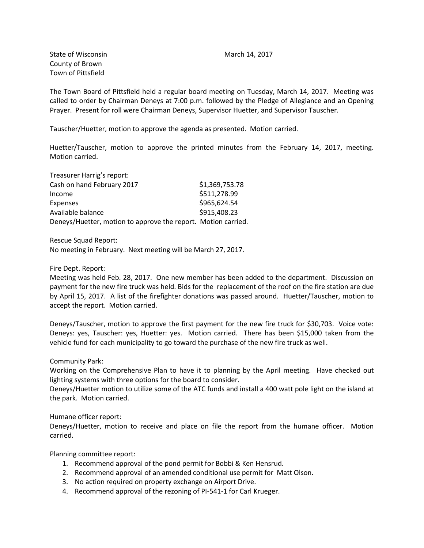State of Wisconsin **March 14, 2017** March 14, 2017 County of Brown Town of Pittsfield

The Town Board of Pittsfield held a regular board meeting on Tuesday, March 14, 2017. Meeting was called to order by Chairman Deneys at 7:00 p.m. followed by the Pledge of Allegiance and an Opening Prayer. Present for roll were Chairman Deneys, Supervisor Huetter, and Supervisor Tauscher.

Tauscher/Huetter, motion to approve the agenda as presented. Motion carried.

Huetter/Tauscher, motion to approve the printed minutes from the February 14, 2017, meeting. Motion carried.

| Treasurer Harrig's report:                                    |                |
|---------------------------------------------------------------|----------------|
| Cash on hand February 2017                                    | \$1,369,753.78 |
| Income                                                        | \$511,278.99   |
| Expenses                                                      | \$965,624.54   |
| Available balance                                             | \$915,408.23   |
| Deneys/Huetter, motion to approve the report. Motion carried. |                |

Rescue Squad Report: No meeting in February. Next meeting will be March 27, 2017.

Fire Dept. Report:

Meeting was held Feb. 28, 2017. One new member has been added to the department. Discussion on payment for the new fire truck was held. Bids for the replacement of the roof on the fire station are due by April 15, 2017. A list of the firefighter donations was passed around. Huetter/Tauscher, motion to accept the report. Motion carried.

Deneys/Tauscher, motion to approve the first payment for the new fire truck for \$30,703. Voice vote: Deneys: yes, Tauscher: yes, Huetter: yes. Motion carried. There has been \$15,000 taken from the vehicle fund for each municipality to go toward the purchase of the new fire truck as well.

Community Park:

Working on the Comprehensive Plan to have it to planning by the April meeting. Have checked out lighting systems with three options for the board to consider.

Deneys/Huetter motion to utilize some of the ATC funds and install a 400 watt pole light on the island at the park. Motion carried.

Humane officer report:

Deneys/Huetter, motion to receive and place on file the report from the humane officer. Motion carried.

Planning committee report:

- 1. Recommend approval of the pond permit for Bobbi & Ken Hensrud.
- 2. Recommend approval of an amended conditional use permit for Matt Olson.
- 3. No action required on property exchange on Airport Drive.
- 4. Recommend approval of the rezoning of PI-541-1 for Carl Krueger.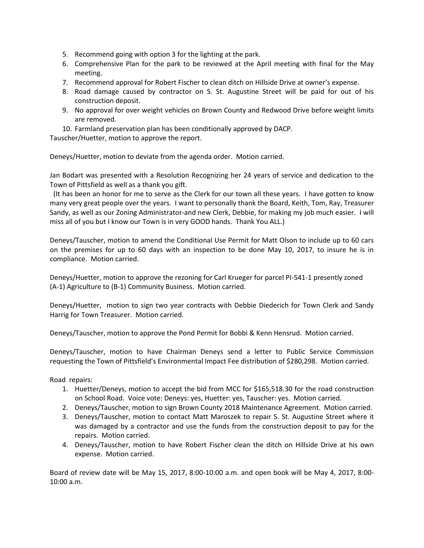- 5. Recommend going with option 3 for the lighting at the park.
- 6. Comprehensive Plan for the park to be reviewed at the April meeting with final for the May meeting.
- 7. Recommend approval for Robert Fischer to clean ditch on Hillside Drive at owner's expense.
- 8. Road damage caused by contractor on S. St. Augustine Street will be paid for out of his construction deposit.
- 9. No approval for over weight vehicles on Brown County and Redwood Drive before weight limits are removed.
- 10. Farmland preservation plan has been conditionally approved by DACP.

Tauscher/Huetter, motion to approve the report.

Deneys/Huetter, motion to deviate from the agenda order. Motion carried.

Jan Bodart was presented with a Resolution Recognizing her 24 years of service and dedication to the Town of Pittsfield as well as a thank you gift.

 (It has been an honor for me to serve as the Clerk for our town all these years. I have gotten to know many very great people over the years. I want to personally thank the Board, Keith, Tom, Ray, Treasurer Sandy, as well as our Zoning Administrator-and new Clerk, Debbie, for making my job much easier. I will miss all of you but I know our Town is in very GOOD hands. Thank You ALL.)

Deneys/Tauscher, motion to amend the Conditional Use Permit for Matt Olson to include up to 60 cars on the premises for up to 60 days with an inspection to be done May 10, 2017, to insure he is in compliance. Motion carried.

Deneys/Huetter, motion to approve the rezoning for Carl Krueger for parcel PI-541-1 presently zoned (A-1) Agriculture to (B-1) Community Business. Motion carried.

Deneys/Huetter, motion to sign two year contracts with Debbie Diederich for Town Clerk and Sandy Harrig for Town Treasurer. Motion carried.

Deneys/Tauscher, motion to approve the Pond Permit for Bobbi & Kenn Hensrud. Motion carried.

Deneys/Tauscher, motion to have Chairman Deneys send a letter to Public Service Commission requesting the Town of Pittsfield's Environmental Impact Fee distribution of \$280,298. Motion carried.

Road repairs:

- 1. Huetter/Deneys, motion to accept the bid from MCC for \$165,518.30 for the road construction on School Road. Voice vote: Deneys: yes, Huetter: yes, Tauscher: yes. Motion carried.
- 2. Deneys/Tauscher, motion to sign Brown County 2018 Maintenance Agreement. Motion carried.
- 3. Deneys/Tauscher, motion to contact Matt Maroszek to repair S. St. Augustine Street where it was damaged by a contractor and use the funds from the construction deposit to pay for the repairs. Motion carried.
- 4. Deneys/Tauscher, motion to have Robert Fischer clean the ditch on Hillside Drive at his own expense. Motion carried.

Board of review date will be May 15, 2017, 8:00-10:00 a.m. and open book will be May 4, 2017, 8:00- 10:00 a.m.